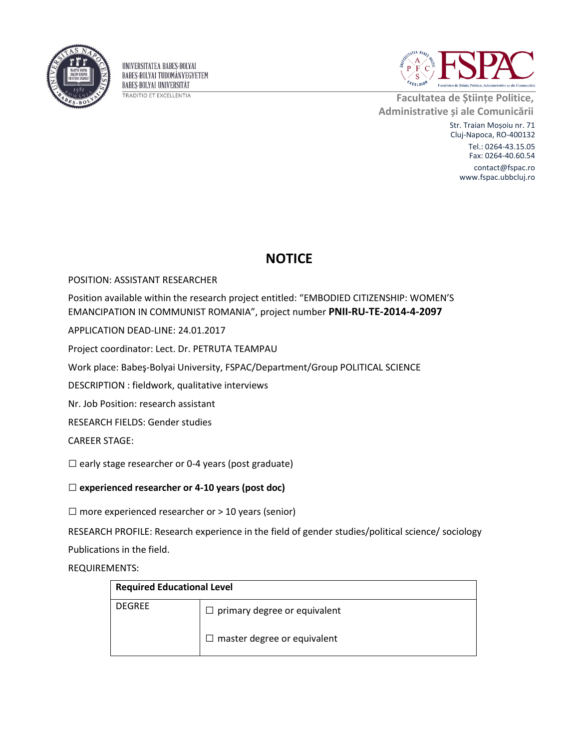

UNIVERSITATEA BABES-BOLYAI BABES-BOLYAI TUDOMÁNYEGYETEM **BABES-BOLYAI UNIVERSITÄT TRADITIO ET EXCELLENTIA** 



**Facultatea de Științe Politice, Administrative și ale Comunicării**

> Str. Traian Moșoiu nr. 71 Cluj-Napoca, RO-400132

Tel.: 0264-43.15.05 Fax: 0264-40.60.54

contact@fspac.ro www.fspac.ubbcluj.ro

## **NOTICE**

POSITION: ASSISTANT RESEARCHER

Position available within the research project entitled: "EMBODIED CITIZENSHIP: WOMEN'S EMANCIPATION IN COMMUNIST ROMANIA", project number **PNII-RU-TE-2014-4-2097**

APPLICATION DEAD-LINE: 24.01.2017

Project coordinator: Lect. Dr. PETRUTA TEAMPAU

Work place: Babeş-Bolyai University, FSPAC/Department/Group POLITICAL SCIENCE

DESCRIPTION : fieldwork, qualitative interviews

Nr. Job Position: research assistant

RESEARCH FIELDS: Gender studies

CAREER STAGE:

 $\square$  early stage researcher or 0-4 years (post graduate)

## □ **experienced researcher or 4-10 years (post doc)**

 $\square$  more experienced researcher or > 10 years (senior)

RESEARCH PROFILE: Research experience in the field of gender studies/political science/ sociology

Publications in the field.

REQUIREMENTS:

| <b>Required Educational Level</b> |                                     |  |
|-----------------------------------|-------------------------------------|--|
| <b>DEGREE</b>                     | $\Box$ primary degree or equivalent |  |
|                                   | $\Box$ master degree or equivalent  |  |